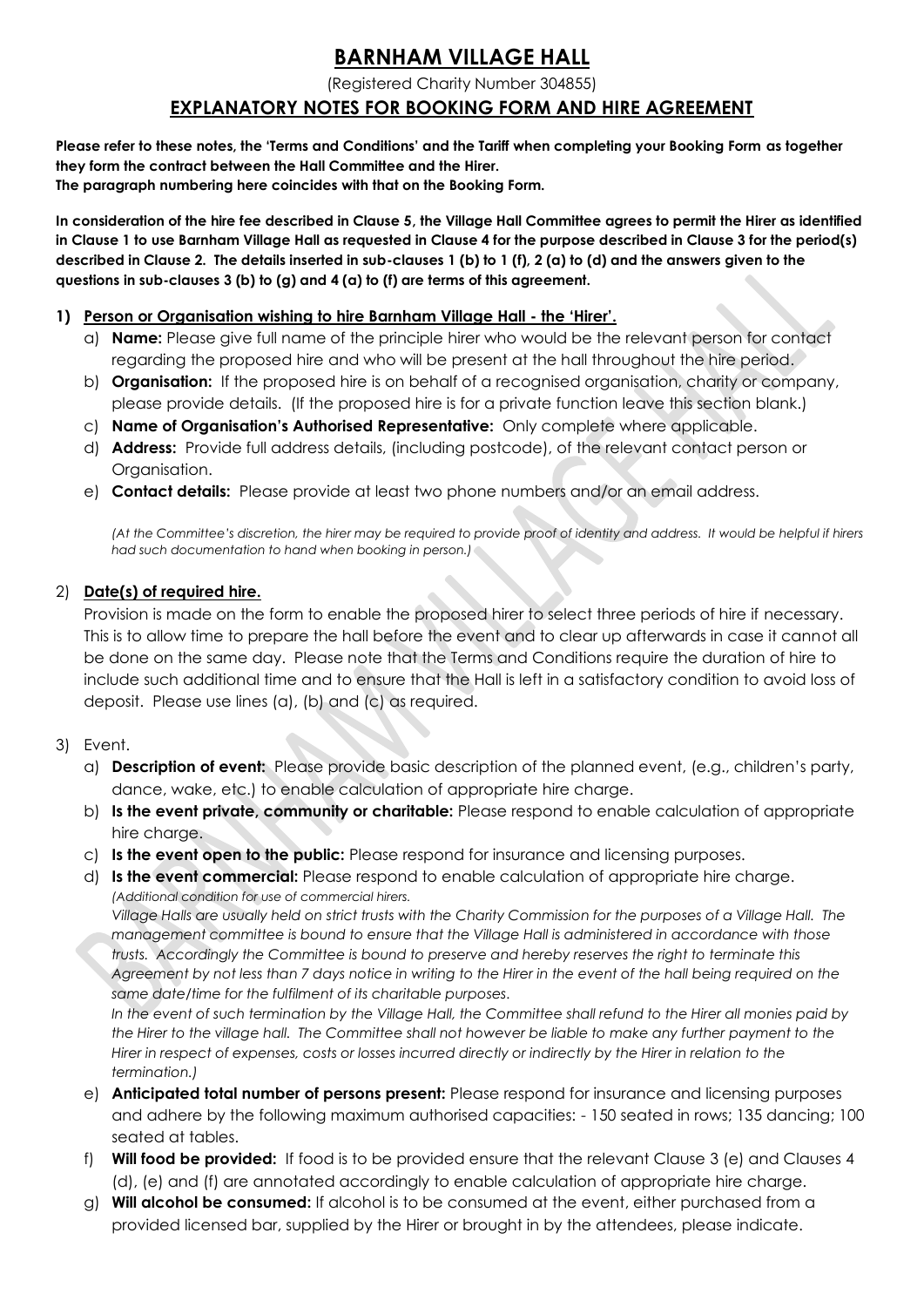# **BARNHAM VILLAGE HALL**

(Registered Charity Number 304855)

# **EXPLANATORY NOTES FOR BOOKING FORM AND HIRE AGREEMENT**

**Please refer to these notes, the 'Terms and Conditions' and the Tariff when completing your Booking Form as together they form the contract between the Hall Committee and the Hirer. The paragraph numbering here coincides with that on the Booking Form.**

**In consideration of the hire fee described in Clause 5, the Village Hall Committee agrees to permit the Hirer as identified in Clause 1 to use Barnham Village Hall as requested in Clause 4 for the purpose described in Clause 3 for the period(s) described in Clause 2. The details inserted in sub-clauses 1 (b) to 1 (f), 2 (a) to (d) and the answers given to the questions in sub-clauses 3 (b) to (g) and 4 (a) to (f) are terms of this agreement.**

#### **1) Person or Organisation wishing to hire Barnham Village Hall - the 'Hirer'.**

- a) **Name:** Please give full name of the principle hirer who would be the relevant person for contact regarding the proposed hire and who will be present at the hall throughout the hire period.
- b) **Organisation:** If the proposed hire is on behalf of a recognised organisation, charity or company, please provide details. (If the proposed hire is for a private function leave this section blank.)
- c) **Name of Organisation's Authorised Representative:** Only complete where applicable.
- d) **Address:** Provide full address details, (including postcode), of the relevant contact person or Organisation.
- e) **Contact details:** Please provide at least two phone numbers and/or an email address.

*(At the Committee's discretion, the hirer may be required to provide proof of identity and address. It would be helpful if hirers had such documentation to hand when booking in person.)*

### 2) **Date(s) of required hire.**

Provision is made on the form to enable the proposed hirer to select three periods of hire if necessary. This is to allow time to prepare the hall before the event and to clear up afterwards in case it cannot all be done on the same day. Please note that the Terms and Conditions require the duration of hire to include such additional time and to ensure that the Hall is left in a satisfactory condition to avoid loss of deposit. Please use lines (a), (b) and (c) as required.

#### 3) Event.

- a) **Description of event:** Please provide basic description of the planned event, (e.g., children's party, dance, wake, etc.) to enable calculation of appropriate hire charge.
- b) **Is the event private, community or charitable:** Please respond to enable calculation of appropriate hire charge.
- c) **Is the event open to the public:** Please respond for insurance and licensing purposes.
- d) **Is the event commercial:** Please respond to enable calculation of appropriate hire charge. *(Additional condition for use of commercial hirers.*

*Village Halls are usually held on strict trusts with the Charity Commission for the purposes of a Village Hall. The management committee is bound to ensure that the Village Hall is administered in accordance with those trusts. Accordingly the Committee is bound to preserve and hereby reserves the right to terminate this*  Agreement by not less than 7 days notice in writing to the Hirer in the event of the hall being required on the *same date/time for the fulfilment of its charitable purposes.*

*In the event of such termination by the Village Hall, the Committee shall refund to the Hirer all monies paid by the Hirer to the village hall. The Committee shall not however be liable to make any further payment to the Hirer in respect of expenses, costs or losses incurred directly or indirectly by the Hirer in relation to the termination.)*

- e) **Anticipated total number of persons present:** Please respond for insurance and licensing purposes and adhere by the following maximum authorised capacities: - 150 seated in rows; 135 dancing; 100 seated at tables.
- f) **Will food be provided:** If food is to be provided ensure that the relevant Clause 3 (e) and Clauses 4 (d), (e) and (f) are annotated accordingly to enable calculation of appropriate hire charge.
- g) **Will alcohol be consumed:** If alcohol is to be consumed at the event, either purchased from a provided licensed bar, supplied by the Hirer or brought in by the attendees, please indicate.